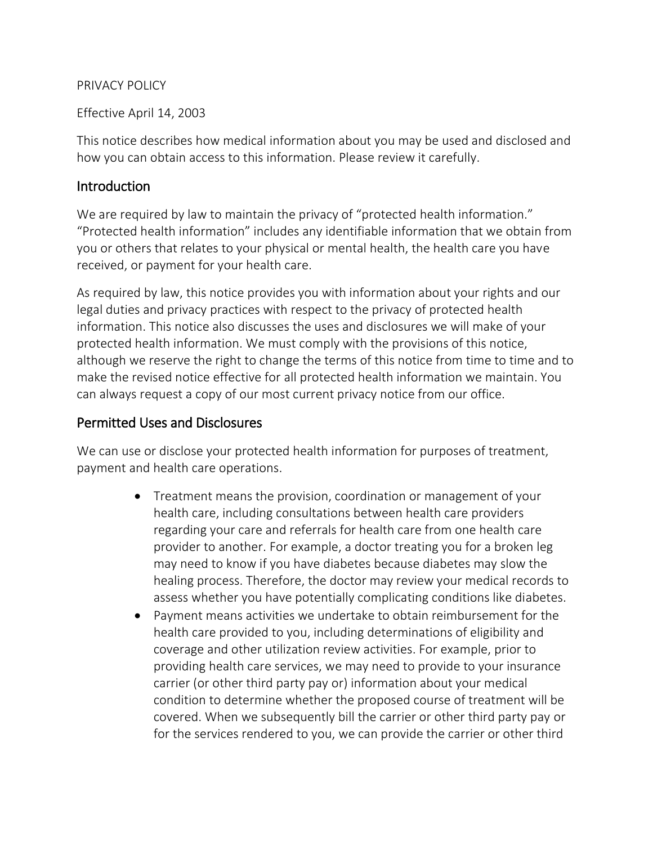#### PRIVACY POLICY

Effective April 14, 2003

This notice describes how medical information about you may be used and disclosed and how you can obtain access to this information. Please review it carefully.

### **Introduction**

We are required by law to maintain the privacy of "protected health information." "Protected health information" includes any identifiable information that we obtain from you or others that relates to your physical or mental health, the health care you have received, or payment for your health care.

As required by law, this notice provides you with information about your rights and our legal duties and privacy practices with respect to the privacy of protected health information. This notice also discusses the uses and disclosures we will make of your protected health information. We must comply with the provisions of this notice, although we reserve the right to change the terms of this notice from time to time and to make the revised notice effective for all protected health information we maintain. You can always request a copy of our most current privacy notice from our office.

## Permitted Uses and Disclosures

We can use or disclose your protected health information for purposes of treatment, payment and health care operations.

- Treatment means the provision, coordination or management of your health care, including consultations between health care providers regarding your care and referrals for health care from one health care provider to another. For example, a doctor treating you for a broken leg may need to know if you have diabetes because diabetes may slow the healing process. Therefore, the doctor may review your medical records to assess whether you have potentially complicating conditions like diabetes.
- Payment means activities we undertake to obtain reimbursement for the health care provided to you, including determinations of eligibility and coverage and other utilization review activities. For example, prior to providing health care services, we may need to provide to your insurance carrier (or other third party pay or) information about your medical condition to determine whether the proposed course of treatment will be covered. When we subsequently bill the carrier or other third party pay or for the services rendered to you, we can provide the carrier or other third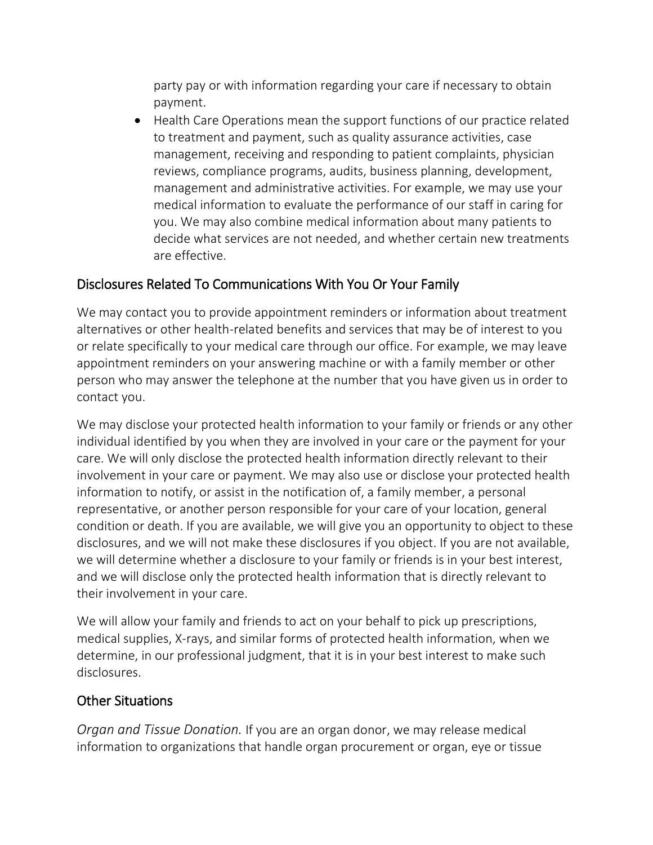party pay or with information regarding your care if necessary to obtain payment.

 Health Care Operations mean the support functions of our practice related to treatment and payment, such as quality assurance activities, case management, receiving and responding to patient complaints, physician reviews, compliance programs, audits, business planning, development, management and administrative activities. For example, we may use your medical information to evaluate the performance of our staff in caring for you. We may also combine medical information about many patients to decide what services are not needed, and whether certain new treatments are effective.

## Disclosures Related To Communications With You Or Your Family

We may contact you to provide appointment reminders or information about treatment alternatives or other health-related benefits and services that may be of interest to you or relate specifically to your medical care through our office. For example, we may leave appointment reminders on your answering machine or with a family member or other person who may answer the telephone at the number that you have given us in order to contact you.

We may disclose your protected health information to your family or friends or any other individual identified by you when they are involved in your care or the payment for your care. We will only disclose the protected health information directly relevant to their involvement in your care or payment. We may also use or disclose your protected health information to notify, or assist in the notification of, a family member, a personal representative, or another person responsible for your care of your location, general condition or death. If you are available, we will give you an opportunity to object to these disclosures, and we will not make these disclosures if you object. If you are not available, we will determine whether a disclosure to your family or friends is in your best interest, and we will disclose only the protected health information that is directly relevant to their involvement in your care.

We will allow your family and friends to act on your behalf to pick up prescriptions, medical supplies, X-rays, and similar forms of protected health information, when we determine, in our professional judgment, that it is in your best interest to make such disclosures.

## Other Situations

*Organ and Tissue Donation.* If you are an organ donor, we may release medical information to organizations that handle organ procurement or organ, eye or tissue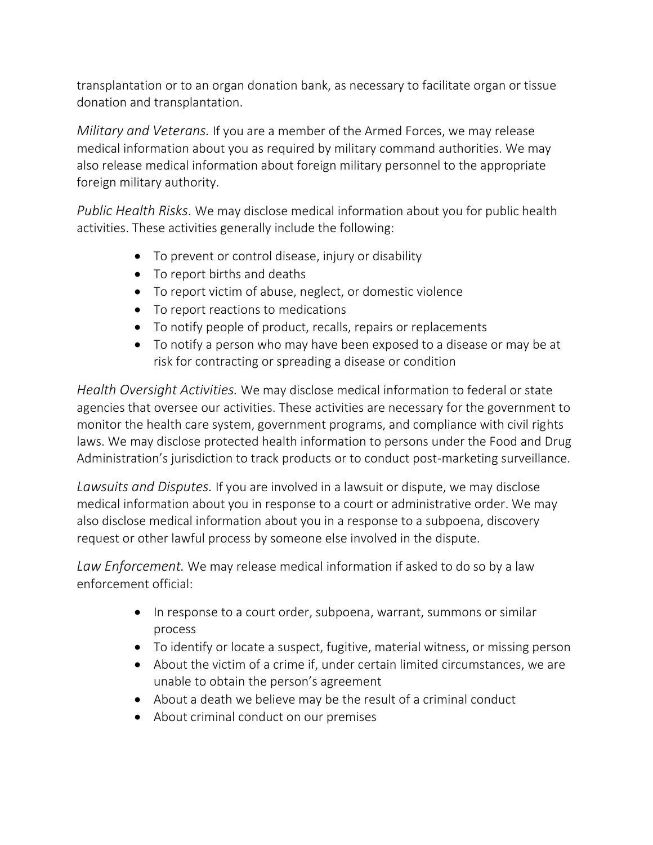transplantation or to an organ donation bank, as necessary to facilitate organ or tissue donation and transplantation.

*Military and Veterans.* If you are a member of the Armed Forces, we may release medical information about you as required by military command authorities. We may also release medical information about foreign military personnel to the appropriate foreign military authority.

*Public Health Risks*. We may disclose medical information about you for public health activities. These activities generally include the following:

- To prevent or control disease, injury or disability
- To report births and deaths
- To report victim of abuse, neglect, or domestic violence
- To report reactions to medications
- To notify people of product, recalls, repairs or replacements
- To notify a person who may have been exposed to a disease or may be at risk for contracting or spreading a disease or condition

*Health Oversight Activities.* We may disclose medical information to federal or state agencies that oversee our activities. These activities are necessary for the government to monitor the health care system, government programs, and compliance with civil rights laws. We may disclose protected health information to persons under the Food and Drug Administration's jurisdiction to track products or to conduct post-marketing surveillance.

*Lawsuits and Disputes.* If you are involved in a lawsuit or dispute, we may disclose medical information about you in response to a court or administrative order. We may also disclose medical information about you in a response to a subpoena, discovery request or other lawful process by someone else involved in the dispute.

*Law Enforcement.* We may release medical information if asked to do so by a law enforcement official:

- In response to a court order, subpoena, warrant, summons or similar process
- To identify or locate a suspect, fugitive, material witness, or missing person
- About the victim of a crime if, under certain limited circumstances, we are unable to obtain the person's agreement
- About a death we believe may be the result of a criminal conduct
- About criminal conduct on our premises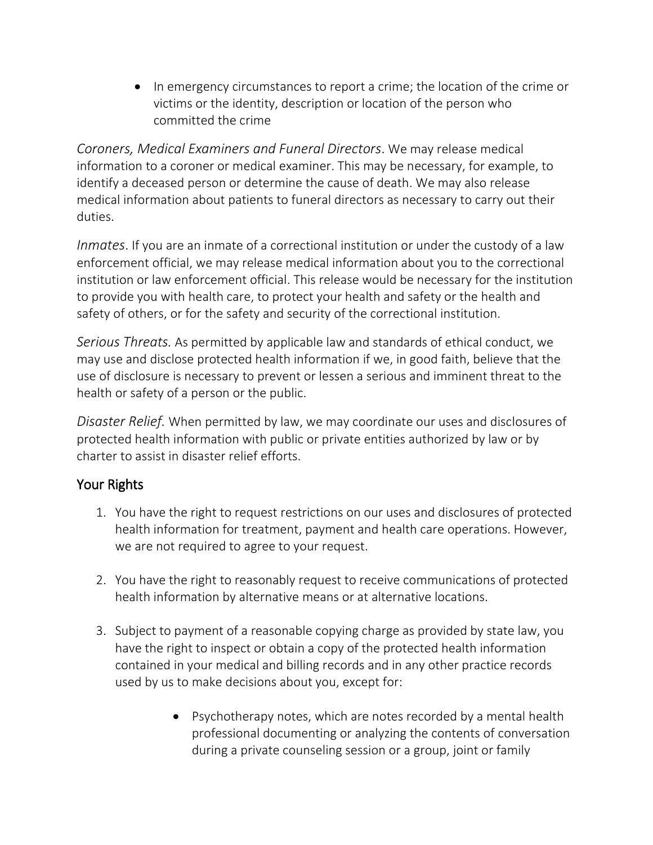• In emergency circumstances to report a crime; the location of the crime or victims or the identity, description or location of the person who committed the crime

*Coroners, Medical Examiners and Funeral Directors*. We may release medical information to a coroner or medical examiner. This may be necessary, for example, to identify a deceased person or determine the cause of death. We may also release medical information about patients to funeral directors as necessary to carry out their duties.

*Inmates*. If you are an inmate of a correctional institution or under the custody of a law enforcement official, we may release medical information about you to the correctional institution or law enforcement official. This release would be necessary for the institution to provide you with health care, to protect your health and safety or the health and safety of others, or for the safety and security of the correctional institution.

*Serious Threats.* As permitted by applicable law and standards of ethical conduct, we may use and disclose protected health information if we, in good faith, believe that the use of disclosure is necessary to prevent or lessen a serious and imminent threat to the health or safety of a person or the public.

*Disaster Relief.* When permitted by law, we may coordinate our uses and disclosures of protected health information with public or private entities authorized by law or by charter to assist in disaster relief efforts.

# Your Rights

- 1. You have the right to request restrictions on our uses and disclosures of protected health information for treatment, payment and health care operations. However, we are not required to agree to your request.
- 2. You have the right to reasonably request to receive communications of protected health information by alternative means or at alternative locations.
- 3. Subject to payment of a reasonable copying charge as provided by state law, you have the right to inspect or obtain a copy of the protected health information contained in your medical and billing records and in any other practice records used by us to make decisions about you, except for:
	- Psychotherapy notes, which are notes recorded by a mental health professional documenting or analyzing the contents of conversation during a private counseling session or a group, joint or family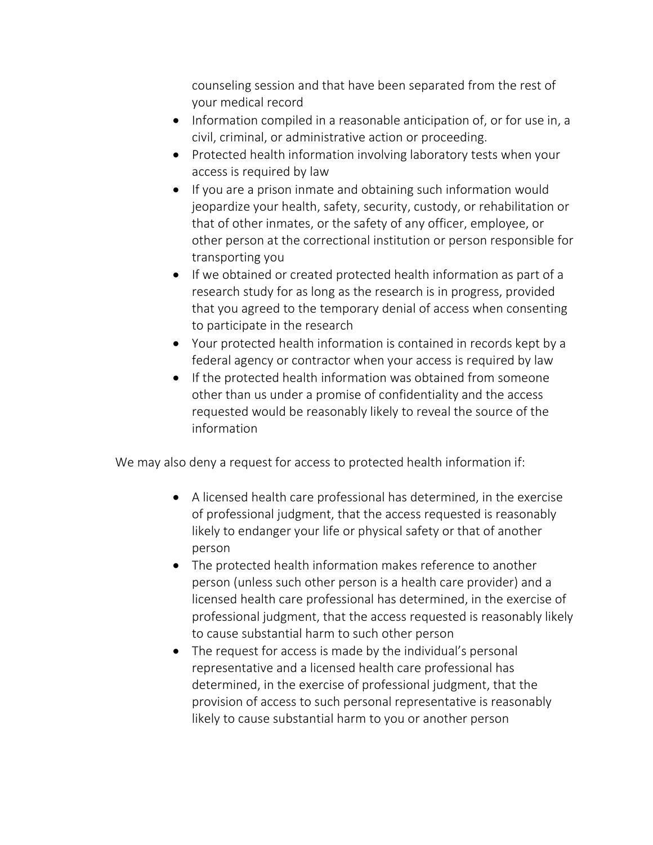counseling session and that have been separated from the rest of your medical record

- Information compiled in a reasonable anticipation of, or for use in, a civil, criminal, or administrative action or proceeding.
- Protected health information involving laboratory tests when your access is required by law
- If you are a prison inmate and obtaining such information would jeopardize your health, safety, security, custody, or rehabilitation or that of other inmates, or the safety of any officer, employee, or other person at the correctional institution or person responsible for transporting you
- If we obtained or created protected health information as part of a research study for as long as the research is in progress, provided that you agreed to the temporary denial of access when consenting to participate in the research
- Your protected health information is contained in records kept by a federal agency or contractor when your access is required by law
- If the protected health information was obtained from someone other than us under a promise of confidentiality and the access requested would be reasonably likely to reveal the source of the information

We may also deny a request for access to protected health information if:

- A licensed health care professional has determined, in the exercise of professional judgment, that the access requested is reasonably likely to endanger your life or physical safety or that of another person
- The protected health information makes reference to another person (unless such other person is a health care provider) and a licensed health care professional has determined, in the exercise of professional judgment, that the access requested is reasonably likely to cause substantial harm to such other person
- The request for access is made by the individual's personal representative and a licensed health care professional has determined, in the exercise of professional judgment, that the provision of access to such personal representative is reasonably likely to cause substantial harm to you or another person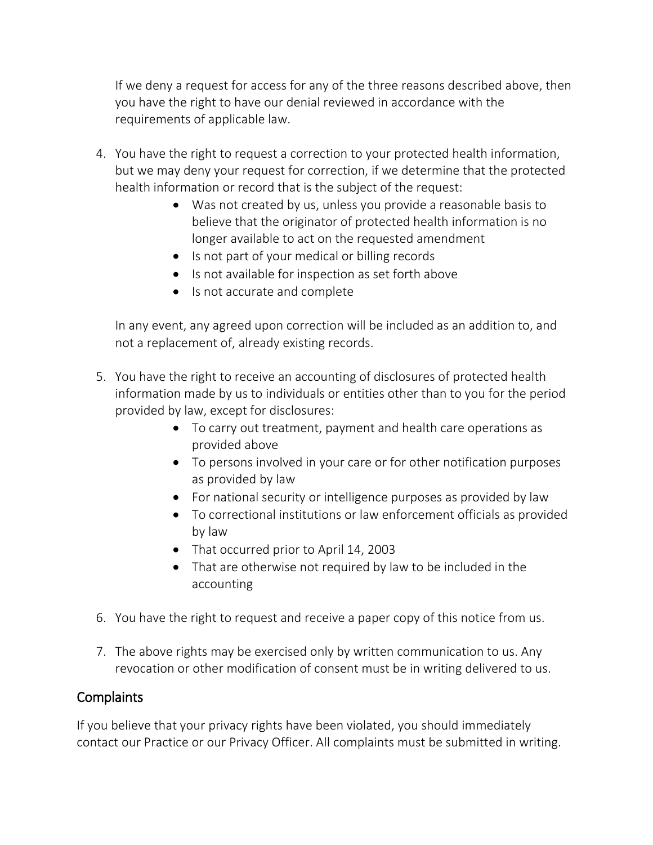If we deny a request for access for any of the three reasons described above, then you have the right to have our denial reviewed in accordance with the requirements of applicable law.

- 4. You have the right to request a correction to your protected health information, but we may deny your request for correction, if we determine that the protected health information or record that is the subject of the request:
	- Was not created by us, unless you provide a reasonable basis to believe that the originator of protected health information is no longer available to act on the requested amendment
	- Is not part of your medical or billing records
	- Is not available for inspection as set forth above
	- Is not accurate and complete

In any event, any agreed upon correction will be included as an addition to, and not a replacement of, already existing records.

- 5. You have the right to receive an accounting of disclosures of protected health information made by us to individuals or entities other than to you for the period provided by law, except for disclosures:
	- To carry out treatment, payment and health care operations as provided above
	- To persons involved in your care or for other notification purposes as provided by law
	- For national security or intelligence purposes as provided by law
	- To correctional institutions or law enforcement officials as provided by law
	- That occurred prior to April 14, 2003
	- That are otherwise not required by law to be included in the accounting
- 6. You have the right to request and receive a paper copy of this notice from us.
- 7. The above rights may be exercised only by written communication to us. Any revocation or other modification of consent must be in writing delivered to us.

## Complaints

If you believe that your privacy rights have been violated, you should immediately contact our Practice or our Privacy Officer. All complaints must be submitted in writing.